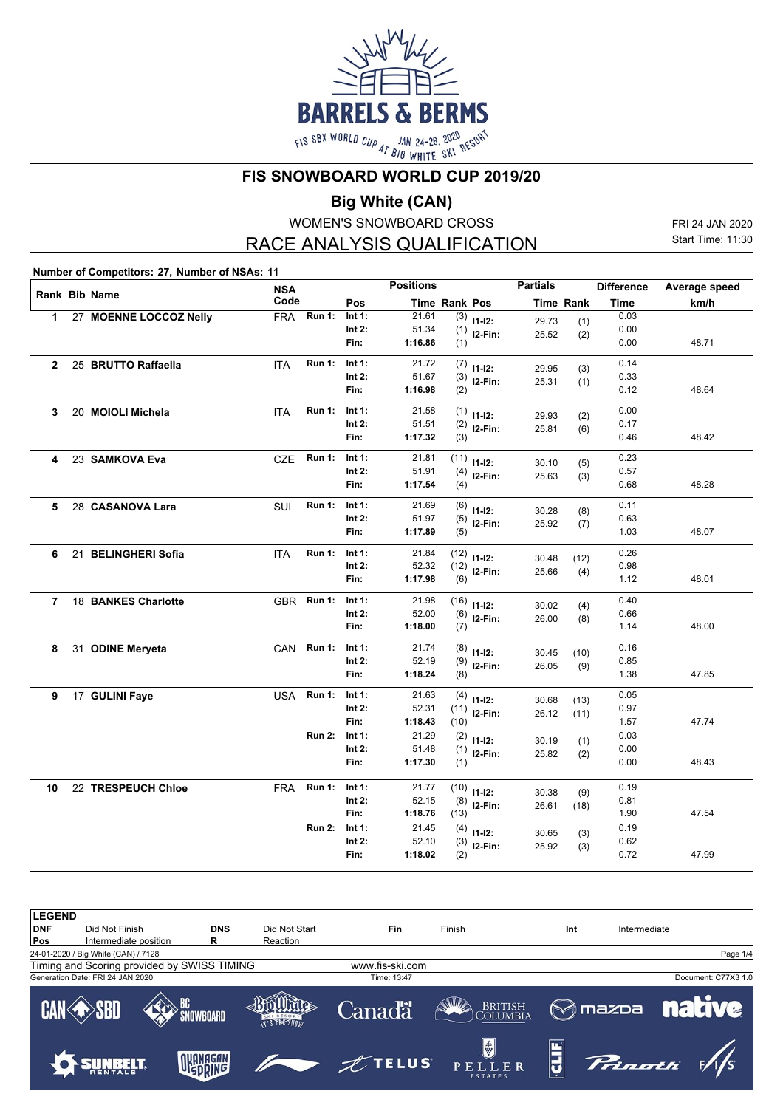

**FIS SNOWBOARD WORLD CUP 2019/20**

**Big White (CAN)**

WOMEN'S SNOWBOARD CROSS RACE ANALYSIS QUALIFICATION

FRI 24 JAN 2020 Start Time: 11:30

**Number of Competitors: 27, Number of NSAs: 11**

|                |                        | <b>NSA</b> |               |           | <b>Positions</b> |                      |                         | <b>Partials</b> |                  | <b>Difference</b> | Average speed |
|----------------|------------------------|------------|---------------|-----------|------------------|----------------------|-------------------------|-----------------|------------------|-------------------|---------------|
|                | Rank Bib Name          | Code       |               | Pos       |                  | <b>Time Rank Pos</b> |                         |                 | <b>Time Rank</b> | <b>Time</b>       | km/h          |
| $\mathbf{1}$   | 27 MOENNE LOCCOZ Nelly | <b>FRA</b> | <b>Run 1:</b> | Int 1:    | 21.61            |                      | $\overline{(3)}$ 11-12: | 29.73           | (1)              | 0.03              |               |
|                |                        |            |               | Int $2:$  | 51.34            |                      | $(1)$ 12-Fin:           | 25.52           | (2)              | 0.00              |               |
|                |                        |            |               | Fin:      | 1:16.86          | (1)                  |                         |                 |                  | 0.00              | 48.71         |
| $\mathbf{2}$   | 25 BRUTTO Raffaella    | <b>ITA</b> | <b>Run 1:</b> | Int $1$ : | 21.72            |                      | $(7)$ 11-12:            | 29.95           | (3)              | 0.14              |               |
|                |                        |            |               | Int $2$ : | 51.67            |                      | $(3)$ 12-Fin:           | 25.31           | (1)              | 0.33              |               |
|                |                        |            |               | Fin:      | 1:16.98          | (2)                  |                         |                 |                  | 0.12              | 48.64         |
| 3              | 20 MOIOLI Michela      | <b>ITA</b> | <b>Run 1:</b> | Int 1:    | 21.58            |                      | $(1)$ 11-12:            | 29.93           | (2)              | 0.00              |               |
|                |                        |            |               | Int $2:$  | 51.51            | (2)                  | I2-Fin:                 | 25.81           | (6)              | 0.17              |               |
|                |                        |            |               | Fin:      | 1:17.32          | (3)                  |                         |                 |                  | 0.46              | 48.42         |
| 4              | 23 SAMKOVA Eva         | <b>CZE</b> | <b>Run 1:</b> | Int $1$ : | 21.81            | (11)                 | $11 - 12$ :             | 30.10           | (5)              | 0.23              |               |
|                |                        |            |               | Int $2:$  | 51.91            | (4)                  | $12-Fin:$               | 25.63           | (3)              | 0.57              |               |
|                |                        |            |               | Fin:      | 1:17.54          | (4)                  |                         |                 |                  | 0.68              | 48.28         |
| 5              | 28 CASANOVA Lara       | SUI        | <b>Run 1:</b> | Int 1:    | 21.69            |                      | $(6)$ 11-12:            | 30.28           | (8)              | 0.11              |               |
|                |                        |            |               | Int $2:$  | 51.97            | (5)                  | $12-Fin:$               | 25.92           | (7)              | 0.63              |               |
|                |                        |            |               | Fin:      | 1:17.89          | (5)                  |                         |                 |                  | 1.03              | 48.07         |
| 6              | 21 BELINGHERI Sofia    | <b>ITA</b> | <b>Run 1:</b> | Int 1:    | 21.84            |                      | $(12)$ 11-12:           | 30.48           | (12)             | 0.26              |               |
|                |                        |            |               | Int $2:$  | 52.32            |                      | $(12)$ <b>I2-Fin:</b>   | 25.66           | (4)              | 0.98              |               |
|                |                        |            |               | Fin:      | 1:17.98          | (6)                  |                         |                 |                  | 1.12              | 48.01         |
| $\overline{7}$ | 18 BANKES Charlotte    | GBR        | <b>Run 1:</b> | Int $1$ : | 21.98            |                      | $(16)$ 11-12:           | 30.02           | (4)              | 0.40              |               |
|                |                        |            |               | Int $2:$  | 52.00            |                      | $(6)$ 12-Fin:           | 26.00           | (8)              | 0.66              |               |
|                |                        |            |               | Fin:      | 1:18.00          | (7)                  |                         |                 |                  | 1.14              | 48.00         |
| 8              | 31 ODINE Meryeta       | CAN        | <b>Run 1:</b> | Int 1:    | 21.74            |                      | $(8)$ 11-12:            | 30.45           | (10)             | 0.16              |               |
|                |                        |            |               | Int $2:$  | 52.19            |                      | $(9)$ 12-Fin:           | 26.05           | (9)              | 0.85              |               |
|                |                        |            |               | Fin:      | 1:18.24          | (8)                  |                         |                 |                  | 1.38              | 47.85         |
| 9              | 17 GULINI Faye         | <b>USA</b> | <b>Run 1:</b> | Int 1:    | 21.63            |                      | $(4)$ 11-12:            | 30.68           | (13)             | 0.05              |               |
|                |                        |            |               | Int $2:$  | 52.31            |                      | $(11)$ 12-Fin:          | 26.12           | (11)             | 0.97              |               |
|                |                        |            |               | Fin:      | 1:18.43          | (10)                 |                         |                 |                  | 1.57              | 47.74         |
|                |                        |            | <b>Run 2:</b> | Int 1:    | 21.29            | (2)                  | $11 - 12$ :             | 30.19           | (1)              | 0.03              |               |
|                |                        |            |               | Int $2:$  | 51.48            |                      | $(1)$ 12-Fin:           | 25.82           | (2)              | 0.00              |               |
|                |                        |            |               | Fin:      | 1:17.30          | (1)                  |                         |                 |                  | 0.00              | 48.43         |
| 10             | 22 TRESPEUCH Chloe     | <b>FRA</b> | <b>Run 1:</b> | Int $1:$  | 21.77            | (10)                 | $11-12:$                | 30.38           | (9)              | 0.19              |               |
|                |                        |            |               | Int $2:$  | 52.15            | (8)                  | $12-Fin:$               | 26.61           | (18)             | 0.81              |               |
|                |                        |            |               | Fin:      | 1:18.76          | (13)                 |                         |                 |                  | 1.90              | 47.54         |
|                |                        |            | <b>Run 2:</b> | Int 1:    | 21.45            |                      | $(4)$ 11-12:            | 30.65           | (3)              | 0.19              |               |
|                |                        |            |               | Int $2:$  | 52.10            | (3)                  | I2-Fin:                 | 25.92           | (3)              | 0.62              |               |
|                |                        |            |               | Fin:      | 1:18.02          | (2)                  |                         |                 |                  | 0.72              | 47.99         |

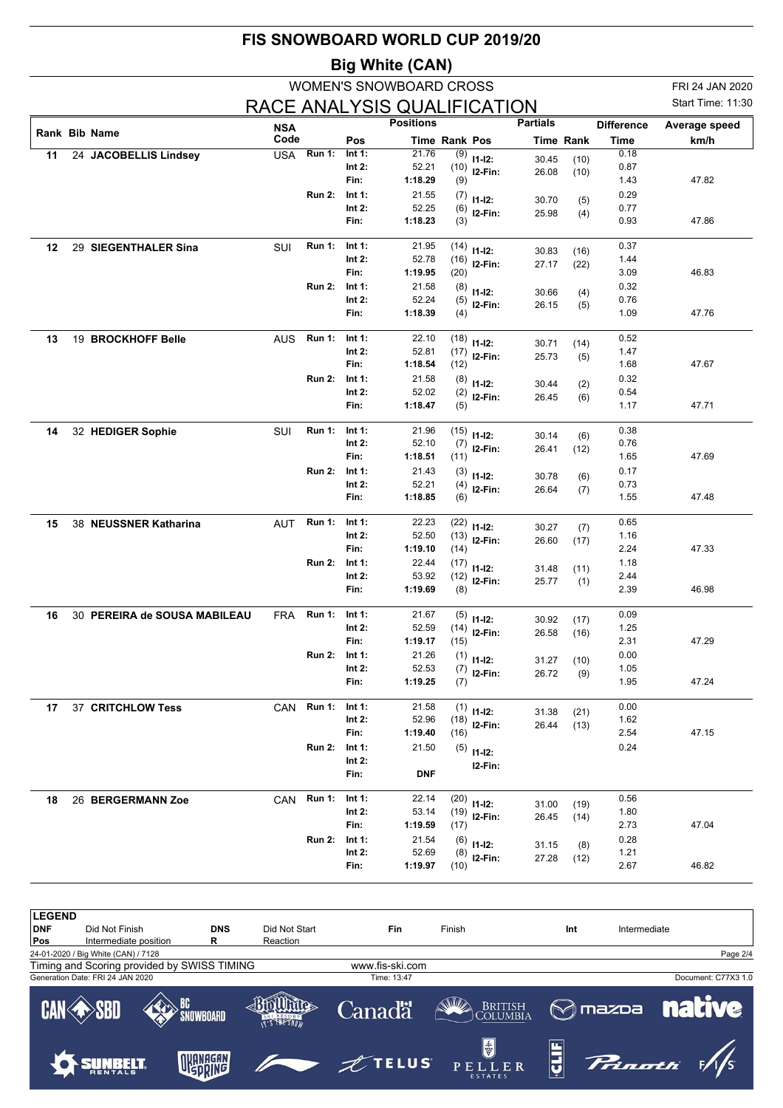|    |                              |            |               |                    | FIS SNOWBOARD WORLD CUP 2019/20 |                      |                |                 |                  |                   |                   |
|----|------------------------------|------------|---------------|--------------------|---------------------------------|----------------------|----------------|-----------------|------------------|-------------------|-------------------|
|    |                              |            |               |                    | <b>Big White (CAN)</b>          |                      |                |                 |                  |                   |                   |
|    |                              |            |               |                    | <b>WOMEN'S SNOWBOARD CROSS</b>  |                      |                |                 |                  |                   | FRI 24 JAN 2020   |
|    |                              |            |               |                    | RACE ANALYSIS QUALIFICATION     |                      |                |                 |                  |                   | Start Time: 11:30 |
|    | Rank Bib Name                | <b>NSA</b> |               |                    | <b>Positions</b>                |                      |                | <b>Partials</b> |                  | <b>Difference</b> | Average speed     |
|    |                              | Code       | <b>Run 1:</b> | Pos<br>Int 1:      | 21.76                           | <b>Time Rank Pos</b> |                |                 | <b>Time Rank</b> | Time<br>0.18      | km/h              |
| 11 | 24 JACOBELLIS Lindsey        | <b>USA</b> |               | Int $2:$           | 52.21                           | (9)<br>(10)          | $11 - 12$ :    | 30.45           | (10)             | 0.87              |                   |
|    |                              |            |               | Fin:               | 1:18.29                         | (9)                  | I2-Fin:        | 26.08           | (10)             | 1.43              | 47.82             |
|    |                              |            | <b>Run 2:</b> | Int $1$ :          | 21.55                           | (7)                  | $11 - 12$ :    | 30.70           | (5)              | 0.29              |                   |
|    |                              |            |               | Int $2:$           | 52.25                           | (6)                  | I2-Fin:        | 25.98           | (4)              | 0.77              |                   |
|    |                              |            |               | Fin:               | 1:18.23                         | (3)                  |                |                 |                  | 0.93              | 47.86             |
| 12 | 29 SIEGENTHALER Sina         | SUI        | <b>Run 1:</b> | Int $1$ :          | 21.95                           | (14)                 | $11 - 12$ :    | 30.83           | (16)             | 0.37              |                   |
|    |                              |            |               | Int $2:$<br>Fin:   | 52.78<br>1:19.95                | (16)<br>(20)         | $12-Fin:$      | 27.17           | (22)             | 1.44<br>3.09      | 46.83             |
|    |                              |            | <b>Run 2:</b> | Int $1$ :          | 21.58                           | (8)                  |                |                 |                  | 0.32              |                   |
|    |                              |            |               | Int $2$ :          | 52.24                           | (5)                  | $11 - 12$ :    | 30.66           | (4)              | 0.76              |                   |
|    |                              |            |               | Fin:               | 1:18.39                         | (4)                  | I2-Fin:        | 26.15           | (5)              | 1.09              | 47.76             |
| 13 | 19 BROCKHOFF Belle           | <b>AUS</b> | <b>Run 1:</b> | Int $1:$           | 22.10                           | (18)                 | $11-12:$       | 30.71           | (14)             | 0.52              |                   |
|    |                              |            |               | Int $2:$           | 52.81                           | (17)                 | I2-Fin:        | 25.73           | (5)              | 1.47              |                   |
|    |                              |            |               | Fin:               | 1:18.54                         | (12)                 |                |                 |                  | 1.68              | 47.67             |
|    |                              |            | <b>Run 2:</b> | Int $1$ :          | 21.58                           | (8)                  | $11 - 12$ :    | 30.44           | (2)              | 0.32              |                   |
|    |                              |            |               | Int $2$ :<br>Fin:  | 52.02<br>1:18.47                | (2)<br>(5)           | I2-Fin:        | 26.45           | (6)              | 0.54<br>1.17      | 47.71             |
|    |                              |            |               |                    |                                 |                      |                |                 |                  |                   |                   |
| 14 | 32 HEDIGER Sophie            | <b>SUI</b> | <b>Run 1:</b> | Int $1$ :          | 21.96                           | (15)                 | $11 - 12$ :    | 30.14           | (6)              | 0.38              |                   |
|    |                              |            |               | Int $2:$           | 52.10                           | (7)                  | $12-Fin:$      | 26.41           | (12)             | 0.76              |                   |
|    |                              |            |               | Fin:               | 1:18.51                         | (11)                 |                |                 |                  | 1.65              | 47.69             |
|    |                              |            | <b>Run 2:</b> | Int 1:<br>Int $2:$ | 21.43<br>52.21                  | (3)                  | $11 - 12$ :    | 30.78           | (6)              | 0.17<br>0.73      |                   |
|    |                              |            |               | Fin:               | 1:18.85                         | (4)<br>(6)           | I2-Fin:        | 26.64           | (7)              | 1.55              | 47.48             |
|    |                              |            |               |                    |                                 |                      |                |                 |                  |                   |                   |
| 15 | 38 NEUSSNER Katharina        | <b>AUT</b> | <b>Run 1:</b> | Int $1$ :          | 22.23                           | (22)                 | $11 - 12$ :    | 30.27           | (7)              | 0.65              |                   |
|    |                              |            |               | Int $2:$<br>Fin:   | 52.50<br>1:19.10                | (13)                 | $12-Fin:$      | 26.60           | (17)             | 1.16              |                   |
|    |                              |            | <b>Run 2:</b> | Int $1$ :          | 22.44                           | (14)<br>(17)         |                |                 |                  | 2.24<br>1.18      | 47.33             |
|    |                              |            |               | Int $2$ :          | 53.92                           | (12)                 | $11 - 12$ :    | 31.48           | (11)             | 2.44              |                   |
|    |                              |            |               | Fin:               | 1:19.69                         | (8)                  | I2-Fin:        | 25.77           | (1)              | 2.39              | 46.98             |
|    |                              |            |               |                    |                                 |                      |                |                 |                  |                   |                   |
| 16 | 30 PEREIRA de SOUSA MABILEAU | <b>FRA</b> | Run 1: Int 1: |                    | 21.67<br>52.59                  |                      | $(5)$ 11-12:   | 30.92           | (17)             | 0.09              |                   |
|    |                              |            |               | Int $2:$<br>Fin:   | 1:19.17                         | (15)                 | $(14)$ 12-Fin: | 26.58           | (16)             | 1.25<br>2.31      | 47.29             |
|    |                              |            | <b>Run 2:</b> | Int 1:             | 21.26                           |                      | $(1)$ 11-12:   |                 |                  | 0.00              |                   |
|    |                              |            |               | Int $2:$           | 52.53                           |                      | $(7)$ 12-Fin:  | 31.27<br>26.72  | (10)<br>(9)      | 1.05              |                   |
|    |                              |            |               | Fin:               | 1:19.25                         | (7)                  |                |                 |                  | 1.95              | 47.24             |
| 17 | 37 CRITCHLOW Tess            | CAN        | <b>Run 1:</b> | Int 1:             | 21.58                           |                      | $(1)$ 11-12:   | 31.38           | (21)             | 0.00              |                   |
|    |                              |            |               | Int 2:             | 52.96                           |                      | $(18)$ 12-Fin: | 26.44           | (13)             | 1.62              |                   |
|    |                              |            |               | Fin:               | 1:19.40                         | (16)                 |                |                 |                  | 2.54              | 47.15             |
|    |                              |            | <b>Run 2:</b> | Int 1:<br>Int $2:$ | 21.50                           |                      | $(5)$ 11-12:   |                 |                  | 0.24              |                   |
|    |                              |            |               | Fin:               | <b>DNF</b>                      |                      | I2-Fin:        |                 |                  |                   |                   |
| 18 | 26 BERGERMANN Zoe            | CAN        | Run 1:        | Int 1:             | 22.14                           |                      | $(20)$ 11-12:  |                 |                  | 0.56              |                   |
|    |                              |            |               | Int 2:             | 53.14                           |                      | $(19)$ 12-Fin: | 31.00<br>26.45  | (19)<br>(14)     | 1.80              |                   |
|    |                              |            |               | Fin:               | 1:19.59                         | (17)                 |                |                 |                  | 2.73              | 47.04             |
|    |                              |            | <b>Run 2:</b> | Int 1:             | 21.54                           |                      | $(6)$ 11-12:   | 31.15           | (8)              | 0.28              |                   |
|    |                              |            |               | Int $2$ :          | 52.69                           |                      | $(8)$ 12-Fin:  | 27.28           | (12)             | 1.21              |                   |
|    |                              |            |               | Fin:               | 1:19.97                         | (10)                 |                |                 |                  | 2.67              | 46.82             |

| <b>LEGEND</b> |                                     |                                             |                        |                     |                     |                                           |     |                                 |
|---------------|-------------------------------------|---------------------------------------------|------------------------|---------------------|---------------------|-------------------------------------------|-----|---------------------------------|
| <b>DNF</b>    | Did Not Finish                      |                                             | <b>DNS</b>             | Did Not Start       | Fin                 | Finish                                    | Int | Intermediate                    |
| Pos           | Intermediate position               |                                             | R                      | Reaction            |                     |                                           |     |                                 |
|               | 24-01-2020 / Big White (CAN) / 7128 |                                             |                        |                     |                     |                                           |     | Page 2/4                        |
|               |                                     | Timing and Scoring provided by SWISS TIMING |                        |                     | www.fis-ski.com     |                                           |     |                                 |
|               | Generation Date: FRI 24 JAN 2020    |                                             |                        |                     | Time: 13:47         |                                           |     | Document: C77X3 1.0             |
|               | <b>CAN SBD</b>                      |                                             | <b>BC</b><br>SNOWBOARD | <b>T'S THE SNOW</b> | <b>Canadä</b>       | BRITISH<br>COLUMBIA                       |     | <b>native</b><br><b>M</b> mazpa |
|               |                                     |                                             | <b>NUANAGAN</b>        |                     | $\mathscr{L}$ TELUS | $\frac{1}{3}$<br>PELLER<br><b>ESTATES</b> |     | <b>Prinatti</b>                 |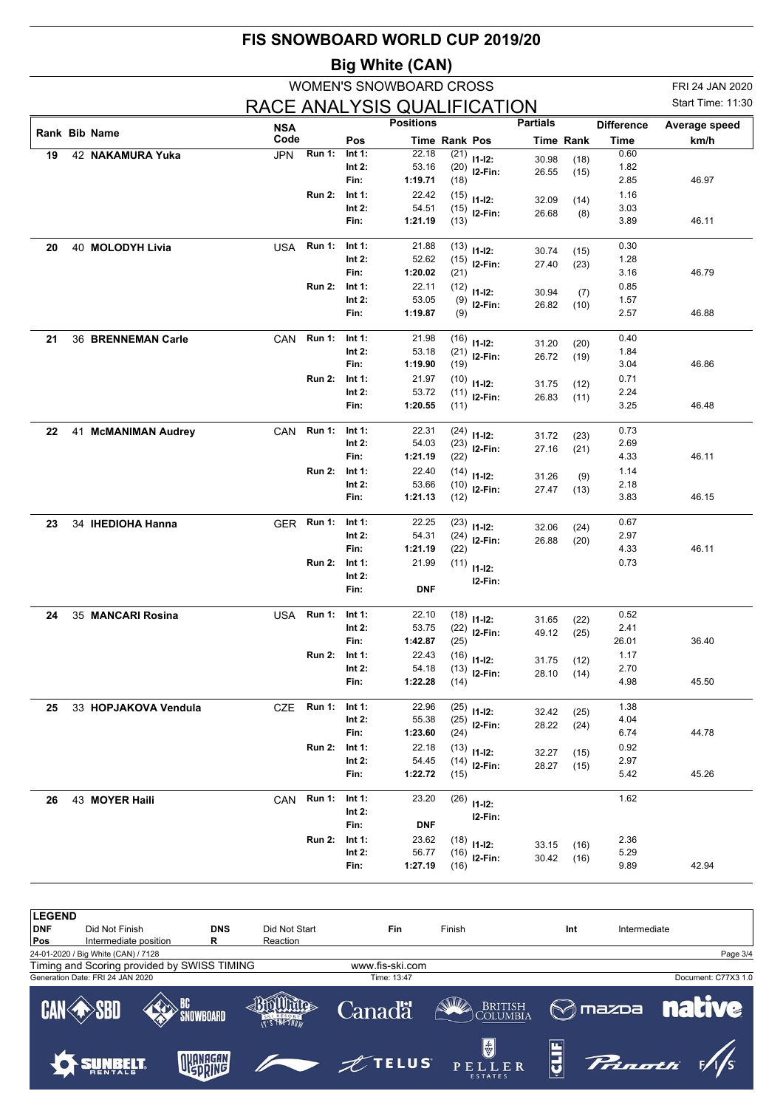|    |                      |            |               |                       | FIS SNOWBOARD WORLD CUP 2019/20 |                      |                                 |                 |                  |                   |                   |
|----|----------------------|------------|---------------|-----------------------|---------------------------------|----------------------|---------------------------------|-----------------|------------------|-------------------|-------------------|
|    |                      |            |               |                       | <b>Big White (CAN)</b>          |                      |                                 |                 |                  |                   |                   |
|    |                      |            |               |                       | <b>WOMEN'S SNOWBOARD CROSS</b>  |                      |                                 |                 |                  |                   | FRI 24 JAN 2020   |
|    |                      |            |               |                       | RACE ANALYSIS QUALIFICATION     |                      |                                 |                 |                  |                   | Start Time: 11:30 |
|    | Rank Bib Name        | <b>NSA</b> |               |                       | <b>Positions</b>                |                      |                                 | <b>Partials</b> |                  | <b>Difference</b> | Average speed     |
|    |                      | Code       |               | Pos                   |                                 | <b>Time Rank Pos</b> |                                 |                 | <b>Time Rank</b> | Time              | km/h              |
| 19 | 42 NAKAMURA Yuka     | <b>JPN</b> | <b>Run 1:</b> | Int $1$ :<br>Int $2:$ | 22.18<br>53.16                  | (21)<br>(20)         | $11-12:$                        | 30.98           | (18)             | 0.60<br>1.82      |                   |
|    |                      |            |               | Fin:                  | 1:19.71                         | (18)                 | $12-Fin:$                       | 26.55           | (15)             | 2.85              | 46.97             |
|    |                      |            | <b>Run 2:</b> | Int 1:                | 22.42                           | (15)                 | $11 - 12$ :                     | 32.09           | (14)             | 1.16              |                   |
|    |                      |            |               | Int $2:$              | 54.51                           | (15)                 | $12-Fin:$                       | 26.68           | (8)              | 3.03              |                   |
|    |                      |            |               | Fin:                  | 1:21.19                         | (13)                 |                                 |                 |                  | 3.89              | 46.11             |
| 20 | 40 MOLODYH Livia     | USA        | <b>Run 1:</b> | Int 1:                | 21.88                           | (13)                 | $11 - 12$ :                     | 30.74           | (15)             | 0.30              |                   |
|    |                      |            |               | Int $2:$              | 52.62<br>1:20.02                | (15)                 | $12-Fin:$                       | 27.40           | (23)             | 1.28              |                   |
|    |                      |            | <b>Run 2:</b> | Fin:<br>Int 1:        | 22.11                           | (21)<br>(12)         |                                 |                 |                  | 3.16<br>0.85      | 46.79             |
|    |                      |            |               | Int $2:$              | 53.05                           | (9)                  | $11 - 12$ :                     | 30.94           | (7)              | 1.57              |                   |
|    |                      |            |               | Fin:                  | 1:19.87                         | (9)                  | I2-Fin:                         | 26.82           | (10)             | 2.57              | 46.88             |
| 21 | 36 BRENNEMAN Carle   | <b>CAN</b> | <b>Run 1:</b> | Int 1:                | 21.98                           | (16)                 |                                 |                 |                  | 0.40              |                   |
|    |                      |            |               | Int $2:$              | 53.18                           | (21)                 | $11 - 12$ :<br>I2-Fin:          | 31.20           | (20)             | 1.84              |                   |
|    |                      |            |               | Fin:                  | 1:19.90                         | (19)                 |                                 | 26.72           | (19)             | 3.04              | 46.86             |
|    |                      |            | <b>Run 2:</b> | Int $1$ :             | 21.97                           | (10)                 | $11-12:$                        | 31.75           | (12)             | 0.71              |                   |
|    |                      |            |               | Int $2$ :             | 53.72                           | (11)                 | $12-Fin:$                       | 26.83           | (11)             | 2.24              |                   |
|    |                      |            |               | Fin:                  | 1:20.55                         | (11)                 |                                 |                 |                  | 3.25              | 46.48             |
| 22 | 41 McMANIMAN Audrey  | <b>CAN</b> | <b>Run 1:</b> | Int $1$ :             | 22.31                           | (24)                 | $11 - 12$ :                     | 31.72           | (23)             | 0.73              |                   |
|    |                      |            |               | Int $2:$              | 54.03                           | (23)                 | $12-Fin:$                       | 27.16           | (21)             | 2.69              |                   |
|    |                      |            |               | Fin:                  | 1:21.19                         | (22)                 |                                 |                 |                  | 4.33              | 46.11             |
|    |                      |            | <b>Run 2:</b> | Int 1:<br>Int $2:$    | 22.40<br>53.66                  | (14)<br>(10)         | $11 - 12$ :                     | 31.26           | (9)              | 1.14<br>2.18      |                   |
|    |                      |            |               | Fin:                  | 1:21.13                         | (12)                 | $12-Fin:$                       | 27.47           | (13)             | 3.83              | 46.15             |
|    |                      | GER        | <b>Run 1:</b> | Int 1:                | 22.25                           |                      |                                 |                 |                  | 0.67              |                   |
| 23 | 34 IHEDIOHA Hanna    |            |               | Int $2:$              | 54.31                           | (23)<br>(24)         | $11 - 12$ :<br>I2-Fin:          | 32.06           | (24)             | 2.97              |                   |
|    |                      |            |               | Fin:                  | 1:21.19                         | (22)                 |                                 | 26.88           | (20)             | 4.33              | 46.11             |
|    |                      |            | <b>Run 2:</b> | Int 1:                | 21.99                           | (11)                 | $11-12:$                        |                 |                  | 0.73              |                   |
|    |                      |            |               | Int $2:$              |                                 |                      | I2-Fin:                         |                 |                  |                   |                   |
|    |                      |            |               | Fin:                  | <b>DNF</b>                      |                      |                                 |                 |                  |                   |                   |
| 24 | 35 MANCARI Rosina    | USA        | Run 1: Int 1: |                       | 22.10                           |                      | $(18)$ 11-12:                   | 31.65           | (22)             | 0.52              |                   |
|    |                      |            |               | Int $2:$              | 53.75                           |                      | $(22)$ 12-Fin:                  | 49.12           | (25)             | 2.41              |                   |
|    |                      |            | <b>Run 2:</b> | Fin:<br>Int 1:        | 1:42.87<br>22.43                | (25)                 |                                 |                 |                  | 26.01<br>1.17     | 36.40             |
|    |                      |            |               | Int $2:$              | 54.18                           | (16)                 | $11-12:$<br>$(13)$ 12-Fin:      | 31.75           | (12)             | 2.70              |                   |
|    |                      |            |               | Fin:                  | 1:22.28                         | (14)                 |                                 | 28.10           | (14)             | 4.98              | 45.50             |
|    |                      |            | <b>Run 1:</b> |                       | 22.96                           |                      |                                 |                 |                  | 1.38              |                   |
| 25 | 33 HOPJAKOVA Vendula | CZE        |               | Int 1:<br>Int 2:      | 55.38                           |                      | $(25)$ 11-12:<br>$(25)$ 12-Fin: | 32.42           | (25)             | 4.04              |                   |
|    |                      |            |               | Fin:                  | 1:23.60                         | (24)                 |                                 | 28.22           | (24)             | 6.74              | 44.78             |
|    |                      |            | <b>Run 2:</b> | Int 1:                | 22.18                           |                      | $(13)$ 11-12:                   | 32.27           | (15)             | 0.92              |                   |
|    |                      |            |               | Int 2:                | 54.45                           |                      | $(14)$ 12-Fin:                  | 28.27           | (15)             | 2.97              |                   |
|    |                      |            |               | Fin:                  | 1:22.72                         | (15)                 |                                 |                 |                  | 5.42              | 45.26             |
| 26 | 43 MOYER Haili       | CAN        | <b>Run 1:</b> | Int 1:                | 23.20                           |                      | $(26)$ 11-12:                   |                 |                  | 1.62              |                   |
|    |                      |            |               | Int 2:                |                                 |                      | I2-Fin:                         |                 |                  |                   |                   |
|    |                      |            | <b>Run 2:</b> | Fin:<br>Int 1:        | <b>DNF</b><br>23.62             |                      |                                 |                 |                  | 2.36              |                   |
|    |                      |            |               | Int $2$ :             | 56.77                           |                      | $(18)$ 11-12:<br>$(16)$ 12-Fin: | 33.15           | (16)             | 5.29              |                   |
|    |                      |            |               | Fin:                  | 1:27.19                         | (16)                 |                                 | 30.42           | (16)             | 9.89              | 42.94             |
|    |                      |            |               |                       |                                 |                      |                                 |                 |                  |                   |                   |

**LEGEND**<br>DNF **DNF** Did Not Finish **DNS** Did Not Start **Fin** Finish **Int** Intermediate **Pos** Intermediate position **R** Reaction 24-01-2020 / Big White (CAN) / 7128 Page 3/4 Timing and Scoring provided by SWISS TIMING www.fis-ski.comGeneration Date: FRI 24 JAN 2020 Time: 13:47 Document: C77X3 1.0 BRITISH COLUMBIA BC<br>`SNOWBOARD 400 Miles Canadä  $\bigotimes$ mazba **nati** CAN Ve SBI **THE SWOW** H E  $\frac{1}{5}$ OKANAGAN **TELUS SUNBELT** )<br>inoth  $E R$  $P E$